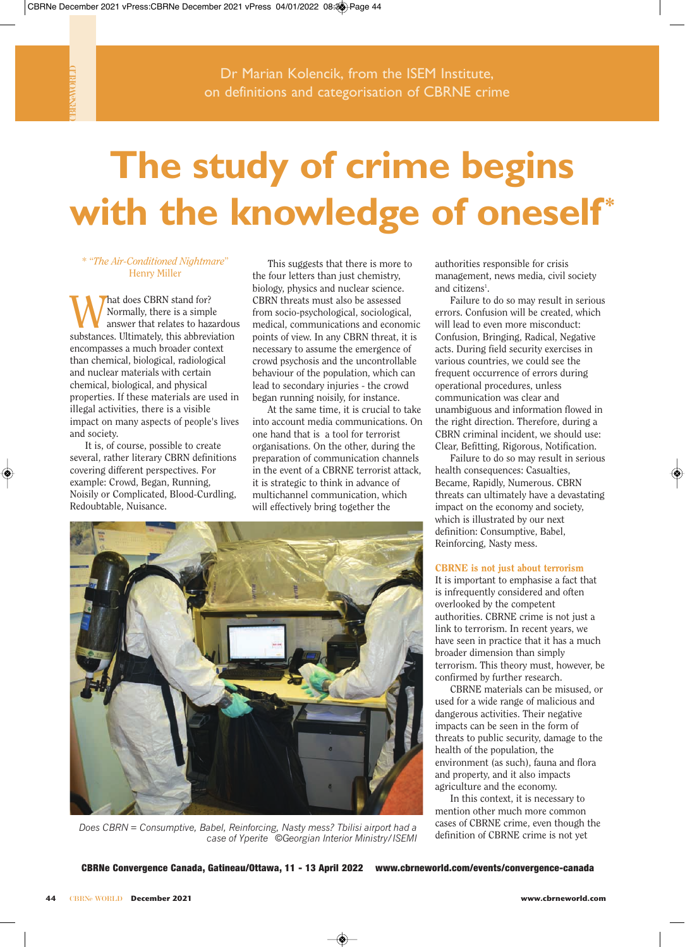CBRNeWORLD

# **The study of crime begins**  with the knowledge of oneself\*

## \* "*The Air-Conditioned Nightmare*" Henry Miller

hat does CBRN stand for? Normally, there is a simple answer that relates to hazardous substances. Ultimately, this abbreviation encompasses a much broader context than chemical, biological, radiological and nuclear materials with certain chemical, biological, and physical properties. If these materials are used in illegal activities, there is a visible impact on many aspects of people's lives and society.

It is, of course, possible to create several, rather literary CBRN definitions covering different perspectives. For example: Crowd, Began, Running, Noisily or Complicated, Blood-Curdling, Redoubtable, Nuisance.

This suggests that there is more to the four letters than just chemistry, biology, physics and nuclear science. CBRN threats must also be assessed from socio-psychological, sociological, medical, communications and economic points of view. In any CBRN threat, it is necessary to assume the emergence of crowd psychosis and the uncontrollable behaviour of the population, which can lead to secondary injuries - the crowd began running noisily, for instance.

At the same time, it is crucial to take into account media communications. On one hand that is a tool for terrorist organisations. On the other, during the preparation of communication channels in the event of a CBRNE terrorist attack, it is strategic to think in advance of multichannel communication, which will effectively bring together the



*Does CBRN = Consumptive, Babel, Reinforcing, Nasty mess? Tbilisi airport had a case of Yperite ©Georgian Interior Ministry/ISEMI*

authorities responsible for crisis management, news media, civil society and citizens<sup>1</sup>.

Failure to do so may result in serious errors. Confusion will be created, which will lead to even more misconduct. Confusion, Bringing, Radical, Negative acts. During field security exercises in various countries, we could see the frequent occurrence of errors during operational procedures, unless communication was clear and unambiguous and information flowed in the right direction. Therefore, during a CBRN criminal incident, we should use: Clear, Befitting, Rigorous, Notification.

Failure to do so may result in serious health consequences: Casualties, Became, Rapidly, Numerous. CBRN threats can ultimately have a devastating impact on the economy and society, which is illustrated by our next definition: Consumptive, Babel, Reinforcing, Nasty mess.

### **CBRNE is not just about terrorism**

It is important to emphasise a fact that is infrequently considered and often overlooked by the competent authorities. CBRNE crime is not just a link to terrorism. In recent years, we have seen in practice that it has a much broader dimension than simply terrorism. This theory must, however, be confirmed by further research.

CBRNE materials can be misused, or used for a wide range of malicious and dangerous activities. Their negative impacts can be seen in the form of threats to public security, damage to the health of the population, the environment (as such), fauna and flora and property, and it also impacts agriculture and the economy.

In this context, it is necessary to mention other much more common cases of CBRNE crime, even though the definition of CBRNE crime is not yet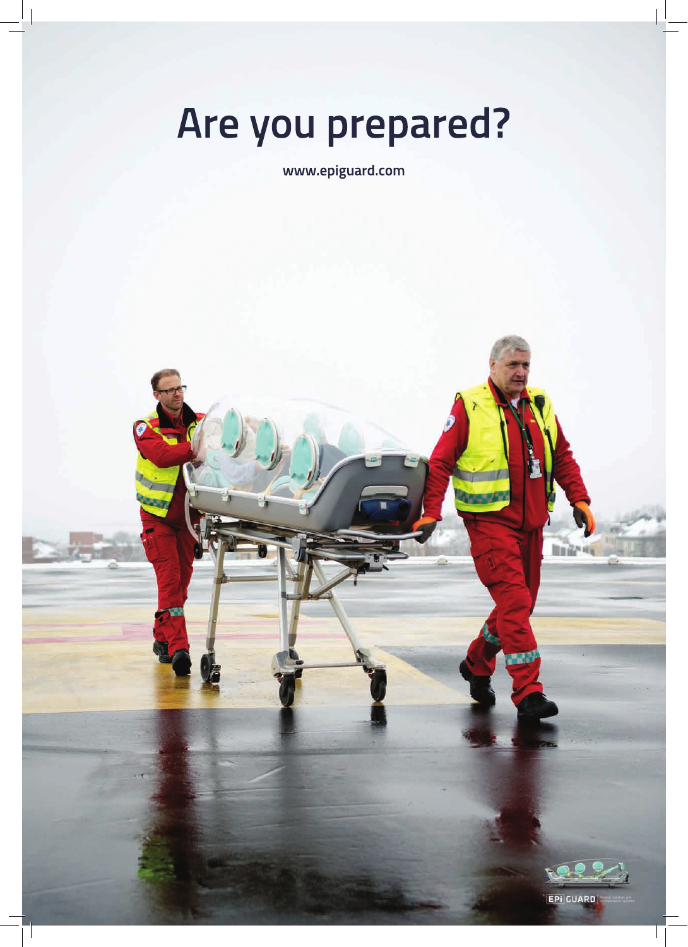# **Are you prepared?**

**www.epiguard.com**



EPI GUARD

Mill ú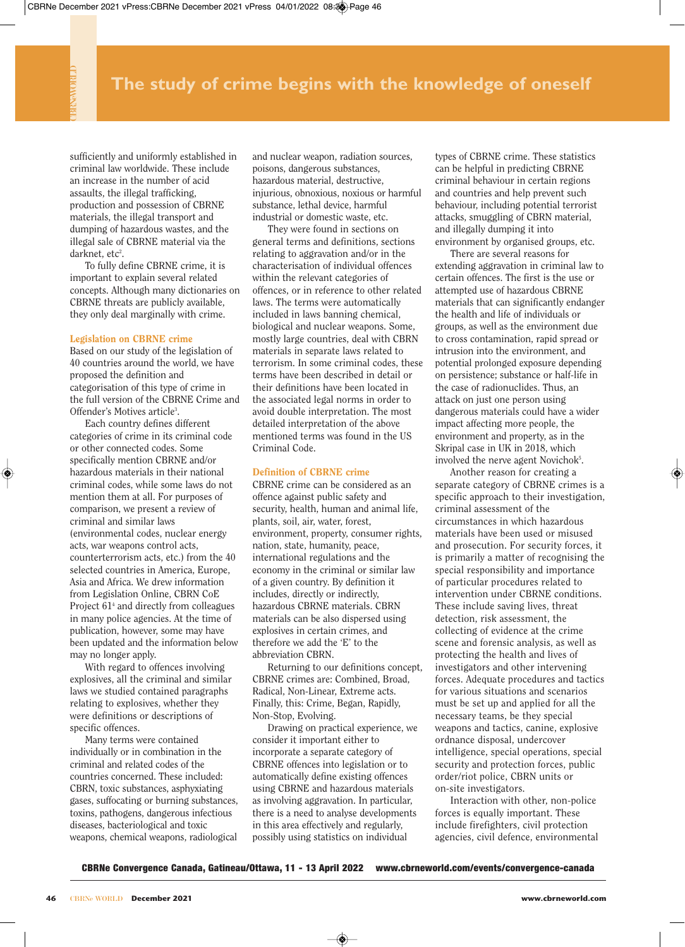sufficiently and uniformly established in criminal law worldwide. These include an increase in the number of acid assaults, the illegal trafficking, production and possession of CBRNE materials, the illegal transport and dumping of hazardous wastes, and the illegal sale of CBRNE material via the darknet, etc<sup>2</sup>.

To fully define CBRNE crime, it is important to explain several related concepts. Although many dictionaries on CBRNE threats are publicly available, they only deal marginally with crime.

#### **Legislation on CBRNE crime**

Based on our study of the legislation of 40 countries around the world, we have proposed the definition and categorisation of this type of crime in the full version of the CBRNE Crime and Offender's Motives article<sup>3</sup>.

Each country defines different categories of crime in its criminal code or other connected codes. Some specifically mention CBRNE and/or hazardous materials in their national criminal codes, while some laws do not mention them at all. For purposes of comparison, we present a review of criminal and similar laws (environmental codes, nuclear energy acts, war weapons control acts, counterterrorism acts, etc.) from the 40 selected countries in America, Europe, Asia and Africa. We drew information from Legislation Online, CBRN CoE Project 61<sup>4</sup> and directly from colleagues in many police agencies. At the time of publication, however, some may have been updated and the information below may no longer apply.

With regard to offences involving explosives, all the criminal and similar laws we studied contained paragraphs relating to explosives, whether they were definitions or descriptions of specific offences.

Many terms were contained individually or in combination in the criminal and related codes of the countries concerned. These included: CBRN, toxic substances, asphyxiating gases, suffocating or burning substances, toxins, pathogens, dangerous infectious diseases, bacteriological and toxic weapons, chemical weapons, radiological

and nuclear weapon, radiation sources, poisons, dangerous substances, hazardous material, destructive, injurious, obnoxious, noxious or harmful substance, lethal device, harmful industrial or domestic waste, etc.

They were found in sections on general terms and definitions, sections relating to aggravation and/or in the characterisation of individual offences within the relevant categories of offences, or in reference to other related laws. The terms were automatically included in laws banning chemical, biological and nuclear weapons. Some, mostly large countries, deal with CBRN materials in separate laws related to terrorism. In some criminal codes, these terms have been described in detail or their definitions have been located in the associated legal norms in order to avoid double interpretation. The most detailed interpretation of the above mentioned terms was found in the US Criminal Code.

#### **Definition of CBRNE crime**

CBRNE crime can be considered as an offence against public safety and security, health, human and animal life, plants, soil, air, water, forest, environment, property, consumer rights, nation, state, humanity, peace, international regulations and the economy in the criminal or similar law of a given country. By definition it includes, directly or indirectly, hazardous CBRNE materials. CBRN materials can be also dispersed using explosives in certain crimes, and therefore we add the 'E' to the abbreviation CBRN.

Returning to our definitions concept, CBRNE crimes are: Combined, Broad, Radical, Non-Linear, Extreme acts. Finally, this: Crime, Began, Rapidly, Non-Stop, Evolving.

Drawing on practical experience, we consider it important either to incorporate a separate category of CBRNE offences into legislation or to automatically define existing offences using CBRNE and hazardous materials as involving aggravation. In particular, there is a need to analyse developments in this area effectively and regularly, possibly using statistics on individual

types of CBRNE crime. These statistics can be helpful in predicting CBRNE criminal behaviour in certain regions and countries and help prevent such behaviour, including potential terrorist attacks, smuggling of CBRN material, and illegally dumping it into environment by organised groups, etc.

There are several reasons for extending aggravation in criminal law to certain offences. The first is the use or attempted use of hazardous CBRNE materials that can significantly endanger the health and life of individuals or groups, as well as the environment due to cross contamination, rapid spread or intrusion into the environment, and potential prolonged exposure depending on persistence; substance or half-life in the case of radionuclides. Thus, an attack on just one person using dangerous materials could have a wider impact affecting more people, the environment and property, as in the Skripal case in UK in 2018, which involved the nerve agent Novichok<sup>5</sup>.

Another reason for creating a separate category of CBRNE crimes is a specific approach to their investigation, criminal assessment of the circumstances in which hazardous materials have been used or misused and prosecution. For security forces, it is primarily a matter of recognising the special responsibility and importance of particular procedures related to intervention under CBRNE conditions. These include saving lives, threat detection, risk assessment, the collecting of evidence at the crime scene and forensic analysis, as well as protecting the health and lives of investigators and other intervening forces. Adequate procedures and tactics for various situations and scenarios must be set up and applied for all the necessary teams, be they special weapons and tactics, canine, explosive ordnance disposal, undercover intelligence, special operations, special security and protection forces, public order/riot police, CBRN units or on-site investigators.

Interaction with other, non-police forces is equally important. These include firefighters, civil protection agencies, civil defence, environmental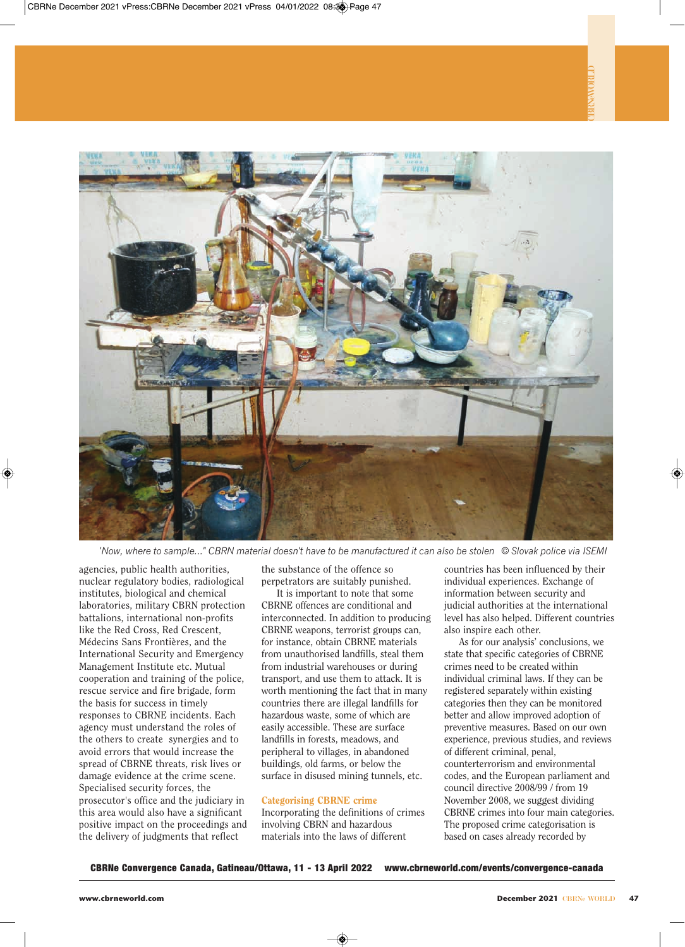

*'Now, where to sample..." CBRN material doesn't have to be manufactured it can also be stolen © Slovak police via ISEMI*

agencies, public health authorities, nuclear regulatory bodies, radiological institutes, biological and chemical laboratories, military CBRN protection battalions, international non-profits like the Red Cross, Red Crescent, Médecins Sans Frontières, and the International Security and Emergency Management Institute etc. Mutual cooperation and training of the police, rescue service and fire brigade, form the basis for success in timely responses to CBRNE incidents. Each agency must understand the roles of the others to create synergies and to avoid errors that would increase the spread of CBRNE threats, risk lives or damage evidence at the crime scene. Specialised security forces, the prosecutor's office and the judiciary in this area would also have a significant positive impact on the proceedings and the delivery of judgments that reflect

the substance of the offence so perpetrators are suitably punished.

It is important to note that some CBRNE offences are conditional and interconnected. In addition to producing CBRNE weapons, terrorist groups can, for instance, obtain CBRNE materials from unauthorised landfills, steal them from industrial warehouses or during transport, and use them to attack. It is worth mentioning the fact that in many countries there are illegal landfills for hazardous waste, some of which are easily accessible. These are surface landfills in forests, meadows, and peripheral to villages, in abandoned buildings, old farms, or below the surface in disused mining tunnels, etc.

#### **Categorising CBRNE crime**

Incorporating the definitions of crimes involving CBRN and hazardous materials into the laws of different

countries has been influenced by their individual experiences. Exchange of information between security and judicial authorities at the international level has also helped. Different countries also inspire each other.

As for our analysis' conclusions, we state that specific categories of CBRNE crimes need to be created within individual criminal laws. If they can be registered separately within existing categories then they can be monitored better and allow improved adoption of preventive measures. Based on our own experience, previous studies, and reviews of different criminal, penal, counterterrorism and environmental codes, and the European parliament and council directive 2008/99 / from 19 November 2008, we suggest dividing CBRNE crimes into four main categories. The proposed crime categorisation is based on cases already recorded by